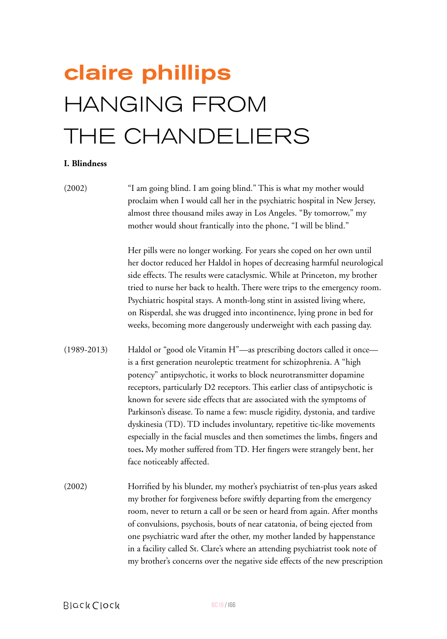# claire phillips HANGING FROM THE CHANDELIERS

## **I. Blindness**

(2002) "I am going blind. I am going blind." This is what my mother would proclaim when I would call her in the psychiatric hospital in New Jersey, almost three thousand miles away in Los Angeles. "By tomorrow," my mother would shout frantically into the phone, "I will be blind."

> Her pills were no longer working. For years she coped on her own until her doctor reduced her Haldol in hopes of decreasing harmful neurological side effects. The results were cataclysmic. While at Princeton, my brother tried to nurse her back to health. There were trips to the emergency room. Psychiatric hospital stays. A month-long stint in assisted living where, on Risperdal, she was drugged into incontinence, lying prone in bed for weeks, becoming more dangerously underweight with each passing day.

- (1989-2013) Haldol or "good ole Vitamin H"—as prescribing doctors called it once is a first generation neuroleptic treatment for schizophrenia. A "high potency" antipsychotic, it works to block neurotransmitter dopamine receptors, particularly D2 receptors. This earlier class of antipsychotic is known for severe side effects that are associated with the symptoms of Parkinson's disease. To name a few: muscle rigidity, dystonia, and tardive dyskinesia (TD). TD includes involuntary, repetitive tic-like movements especially in the facial muscles and then sometimes the limbs, fingers and toes*.* My mother suffered from TD. Her fingers were strangely bent, her face noticeably affected.
- (2002) Horrified by his blunder, my mother's psychiatrist of ten-plus years asked my brother for forgiveness before swiftly departing from the emergency room, never to return a call or be seen or heard from again. After months of convulsions, psychosis, bouts of near catatonia, of being ejected from one psychiatric ward after the other, my mother landed by happenstance in a facility called St. Clare's where an attending psychiatrist took note of my brother's concerns over the negative side effects of the new prescription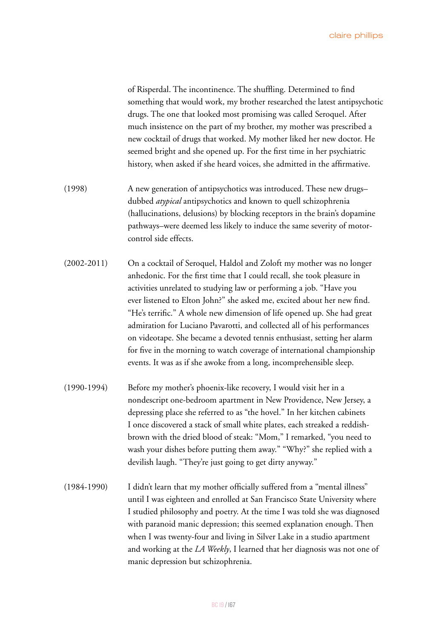of Risperdal. The incontinence. The shuffling. Determined to find something that would work, my brother researched the latest antipsychotic drugs. The one that looked most promising was called Seroquel. After much insistence on the part of my brother, my mother was prescribed a new cocktail of drugs that worked. My mother liked her new doctor. He seemed bright and she opened up. For the first time in her psychiatric history, when asked if she heard voices, she admitted in the affirmative.

- (1998) A new generation of antipsychotics was introduced. These new drugs– dubbed *atypical* antipsychotics and known to quell schizophrenia (hallucinations, delusions) by blocking receptors in the brain's dopamine pathways–were deemed less likely to induce the same severity of motorcontrol side effects.
- (2002-2011) On a cocktail of Seroquel, Haldol and Zoloft my mother was no longer anhedonic. For the first time that I could recall, she took pleasure in activities unrelated to studying law or performing a job. "Have you ever listened to Elton John?" she asked me, excited about her new find. "He's terrific." A whole new dimension of life opened up. She had great admiration for Luciano Pavarotti, and collected all of his performances on videotape. She became a devoted tennis enthusiast, setting her alarm for five in the morning to watch coverage of international championship events. It was as if she awoke from a long, incomprehensible sleep.
- (1990-1994) Before my mother's phoenix-like recovery, I would visit her in a nondescript one-bedroom apartment in New Providence, New Jersey, a depressing place she referred to as "the hovel." In her kitchen cabinets I once discovered a stack of small white plates, each streaked a reddishbrown with the dried blood of steak: "Mom," I remarked, "you need to wash your dishes before putting them away." "Why?" she replied with a devilish laugh. "They're just going to get dirty anyway."
- (1984-1990) I didn't learn that my mother officially suffered from a "mental illness" until I was eighteen and enrolled at San Francisco State University where I studied philosophy and poetry. At the time I was told she was diagnosed with paranoid manic depression; this seemed explanation enough. Then when I was twenty-four and living in Silver Lake in a studio apartment and working at the *LA Weekly*, I learned that her diagnosis was not one of manic depression but schizophrenia.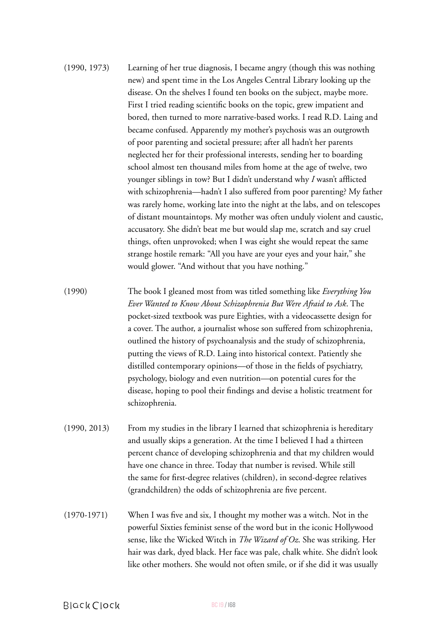- (1990, 1973) Learning of her true diagnosis, I became angry (though this was nothing new) and spent time in the Los Angeles Central Library looking up the disease. On the shelves I found ten books on the subject, maybe more. First I tried reading scientific books on the topic, grew impatient and bored, then turned to more narrative-based works. I read R.D. Laing and became confused. Apparently my mother's psychosis was an outgrowth of poor parenting and societal pressure; after all hadn't her parents neglected her for their professional interests, sending her to boarding school almost ten thousand miles from home at the age of twelve, two younger siblings in tow? But I didn't understand why *I* wasn't afflicted with schizophrenia—hadn't I also suffered from poor parenting? My father was rarely home, working late into the night at the labs, and on telescopes of distant mountaintops. My mother was often unduly violent and caustic, accusatory. She didn't beat me but would slap me, scratch and say cruel things, often unprovoked; when I was eight she would repeat the same strange hostile remark: "All you have are your eyes and your hair," she would glower. "And without that you have nothing."
- (1990) The book I gleaned most from was titled something like *Everything You Ever Wanted to Know About Schizophrenia But Were Afraid to Ask*. The pocket-sized textbook was pure Eighties, with a videocassette design for a cover. The author, a journalist whose son suffered from schizophrenia, outlined the history of psychoanalysis and the study of schizophrenia, putting the views of R.D. Laing into historical context. Patiently she distilled contemporary opinions—of those in the fields of psychiatry, psychology, biology and even nutrition—on potential cures for the disease, hoping to pool their findings and devise a holistic treatment for schizophrenia.
- (1990, 2013) From my studies in the library I learned that schizophrenia is hereditary and usually skips a generation. At the time I believed I had a thirteen percent chance of developing schizophrenia and that my children would have one chance in three. Today that number is revised. While still the same for first-degree relatives (children), in second-degree relatives (grandchildren) the odds of schizophrenia are five percent.
- (1970-1971) When I was five and six, I thought my mother was a witch. Not in the powerful Sixties feminist sense of the word but in the iconic Hollywood sense, like the Wicked Witch in *The Wizard of Oz*. She was striking. Her hair was dark, dyed black. Her face was pale, chalk white. She didn't look like other mothers. She would not often smile, or if she did it was usually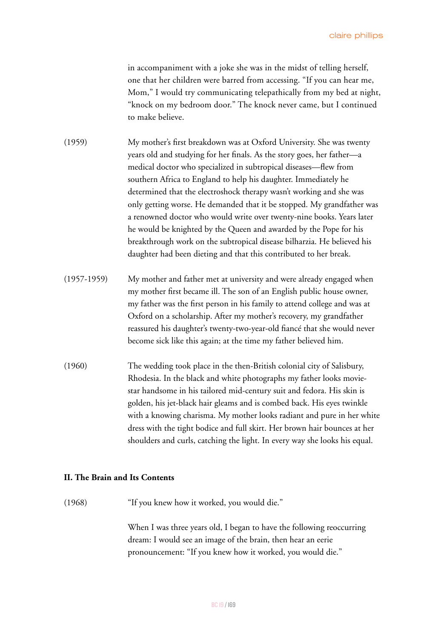in accompaniment with a joke she was in the midst of telling herself, one that her children were barred from accessing. "If you can hear me, Mom," I would try communicating telepathically from my bed at night, "knock on my bedroom door." The knock never came, but I continued to make believe.

- (1959) My mother's first breakdown was at Oxford University. She was twenty years old and studying for her finals. As the story goes, her father—a medical doctor who specialized in subtropical diseases—flew from southern Africa to England to help his daughter. Immediately he determined that the electroshock therapy wasn't working and she was only getting worse. He demanded that it be stopped. My grandfather was a renowned doctor who would write over twenty-nine books. Years later he would be knighted by the Queen and awarded by the Pope for his breakthrough work on the subtropical disease bilharzia. He believed his daughter had been dieting and that this contributed to her break.
- (1957-1959) My mother and father met at university and were already engaged when my mother first became ill. The son of an English public house owner, my father was the first person in his family to attend college and was at Oxford on a scholarship. After my mother's recovery, my grandfather reassured his daughter's twenty-two-year-old fiancé that she would never become sick like this again; at the time my father believed him.
- (1960) The wedding took place in the then-British colonial city of Salisbury, Rhodesia. In the black and white photographs my father looks moviestar handsome in his tailored mid-century suit and fedora. His skin is golden, his jet-black hair gleams and is combed back. His eyes twinkle with a knowing charisma. My mother looks radiant and pure in her white dress with the tight bodice and full skirt. Her brown hair bounces at her shoulders and curls, catching the light. In every way she looks his equal.

#### **II. The Brain and Its Contents**

(1968) "If you knew how it worked, you would die."

When I was three years old, I began to have the following reoccurring dream: I would see an image of the brain, then hear an eerie pronouncement: "If you knew how it worked, you would die."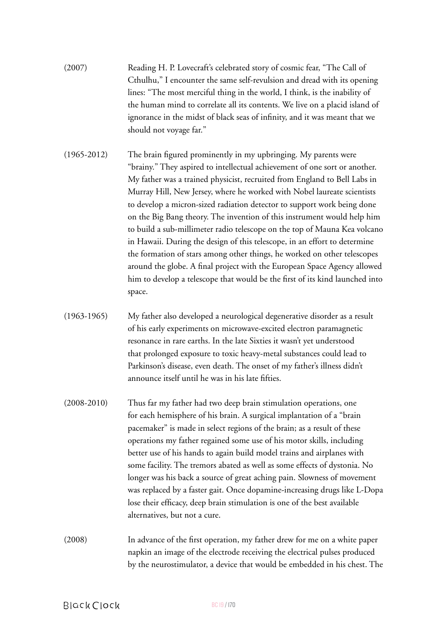- (2007) Reading H. P. Lovecraft's celebrated story of cosmic fear, "The Call of Cthulhu," I encounter the same self-revulsion and dread with its opening lines: "The most merciful thing in the world, I think, is the inability of the human mind to correlate all its contents. We live on a placid island of ignorance in the midst of black seas of infinity, and it was meant that we should not voyage far."
- (1965-2012) The brain figured prominently in my upbringing. My parents were "brainy." They aspired to intellectual achievement of one sort or another. My father was a trained physicist, recruited from England to Bell Labs in Murray Hill, New Jersey, where he worked with Nobel laureate scientists to develop a micron-sized radiation detector to support work being done on the Big Bang theory. The invention of this instrument would help him to build a sub-millimeter radio telescope on the top of Mauna Kea volcano in Hawaii. During the design of this telescope, in an effort to determine the formation of stars among other things, he worked on other telescopes around the globe. A final project with the European Space Agency allowed him to develop a telescope that would be the first of its kind launched into space.
- (1963-1965) My father also developed a neurological degenerative disorder as a result of his early experiments on microwave-excited electron paramagnetic resonance in rare earths. In the late Sixties it wasn't yet understood that prolonged exposure to toxic heavy-metal substances could lead to Parkinson's disease, even death. The onset of my father's illness didn't announce itself until he was in his late fifties.
- (2008-2010) Thus far my father had two deep brain stimulation operations, one for each hemisphere of his brain. A surgical implantation of a "brain pacemaker" is made in select regions of the brain; as a result of these operations my father regained some use of his motor skills, including better use of his hands to again build model trains and airplanes with some facility. The tremors abated as well as some effects of dystonia. No longer was his back a source of great aching pain. Slowness of movement was replaced by a faster gait. Once dopamine-increasing drugs like L-Dopa lose their efficacy, deep brain stimulation is one of the best available alternatives, but not a cure.
- (2008) In advance of the first operation, my father drew for me on a white paper napkin an image of the electrode receiving the electrical pulses produced by the neurostimulator, a device that would be embedded in his chest. The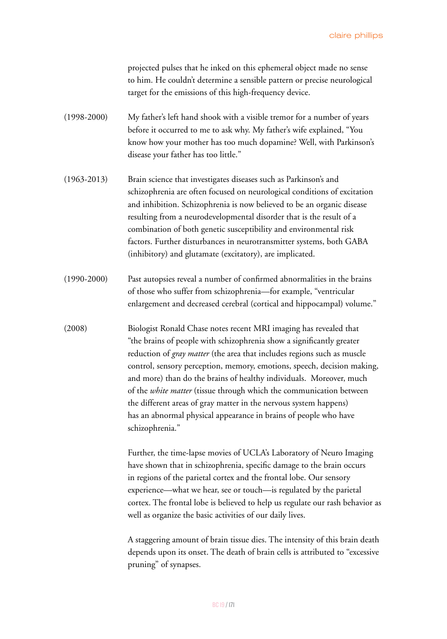projected pulses that he inked on this ephemeral object made no sense to him. He couldn't determine a sensible pattern or precise neurological target for the emissions of this high-frequency device.

- (1998-2000) My father's left hand shook with a visible tremor for a number of years before it occurred to me to ask why. My father's wife explained, "You know how your mother has too much dopamine? Well, with Parkinson's disease your father has too little."
- (1963-2013) Brain science that investigates diseases such as Parkinson's and schizophrenia are often focused on neurological conditions of excitation and inhibition. Schizophrenia is now believed to be an organic disease resulting from a neurodevelopmental disorder that is the result of a combination of both genetic susceptibility and environmental risk factors. Further disturbances in neurotransmitter systems, both GABA (inhibitory) and glutamate (excitatory), are implicated.
- (1990-2000) Past autopsies reveal a number of confirmed abnormalities in the brains of those who suffer from schizophrenia—for example, "ventricular enlargement and decreased cerebral (cortical and hippocampal) volume."
- (2008) Biologist Ronald Chase notes recent MRI imaging has revealed that "the brains of people with schizophrenia show a significantly greater reduction of *gray matter* (the area that includes regions such as muscle control, sensory perception, memory, emotions, speech, decision making, and more) than do the brains of healthy individuals. Moreover, much of the *white matter* (tissue through which the communication between the different areas of gray matter in the nervous system happens) has an abnormal physical appearance in brains of people who have schizophrenia."

Further, the time-lapse movies of UCLA's Laboratory of Neuro Imaging have shown that in schizophrenia, specific damage to the brain occurs in regions of the parietal cortex and the frontal lobe. Our sensory experience—what we hear, see or touch—is regulated by the parietal cortex. The frontal lobe is believed to help us regulate our rash behavior as well as organize the basic activities of our daily lives.

A staggering amount of brain tissue dies. The intensity of this brain death depends upon its onset. The death of brain cells is attributed to "excessive pruning" of synapses.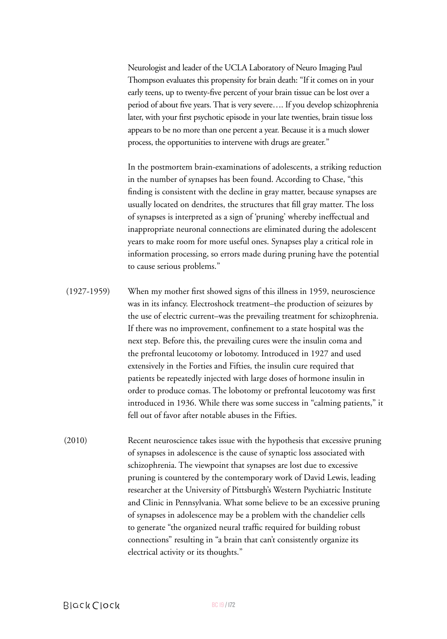Neurologist and leader of the UCLA Laboratory of Neuro Imaging Paul Thompson evaluates this propensity for brain death: "If it comes on in your early teens, up to twenty-five percent of your brain tissue can be lost over a period of about five years. That is very severe…. If you develop schizophrenia later, with your first psychotic episode in your late twenties, brain tissue loss appears to be no more than one percent a year. Because it is a much slower process, the opportunities to intervene with drugs are greater."

In the postmortem brain-examinations of adolescents, a striking reduction in the number of synapses has been found. According to Chase, "this finding is consistent with the decline in gray matter, because synapses are usually located on dendrites, the structures that fill gray matter. The loss of synapses is interpreted as a sign of 'pruning' whereby ineffectual and inappropriate neuronal connections are eliminated during the adolescent years to make room for more useful ones. Synapses play a critical role in information processing, so errors made during pruning have the potential to cause serious problems."

- (1927-1959) When my mother first showed signs of this illness in 1959, neuroscience was in its infancy. Electroshock treatment–the production of seizures by the use of electric current–was the prevailing treatment for schizophrenia. If there was no improvement, confinement to a state hospital was the next step. Before this, the prevailing cures were the insulin coma and the prefrontal leucotomy or lobotomy. Introduced in 1927 and used extensively in the Forties and Fifties, the insulin cure required that patients be repeatedly injected with large doses of hormone insulin in order to produce comas. The lobotomy or prefrontal leucotomy was first introduced in 1936. While there was some success in "calming patients," it fell out of favor after notable abuses in the Fifties.
- (2010) Recent neuroscience takes issue with the hypothesis that excessive pruning of synapses in adolescence is the cause of synaptic loss associated with schizophrenia. The viewpoint that synapses are lost due to excessive pruning is countered by the contemporary work of David Lewis, leading researcher at the University of Pittsburgh's Western Psychiatric Institute and Clinic in Pennsylvania. What some believe to be an excessive pruning of synapses in adolescence may be a problem with the chandelier cells to generate "the organized neural traffic required for building robust connections" resulting in "a brain that can't consistently organize its electrical activity or its thoughts."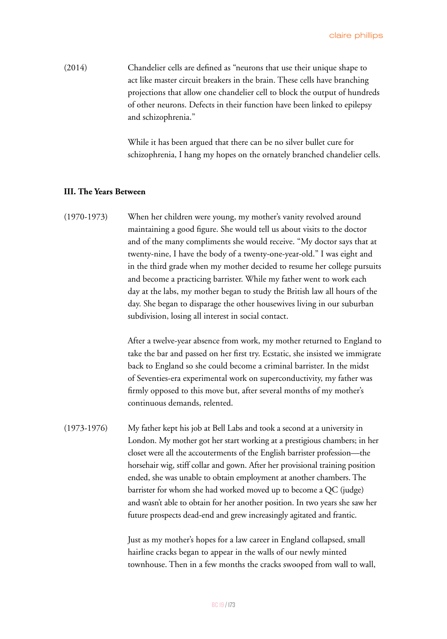(2014) Chandelier cells are defined as "neurons that use their unique shape to act like master circuit breakers in the brain. These cells have branching projections that allow one chandelier cell to block the output of hundreds of other neurons. Defects in their function have been linked to epilepsy and schizophrenia."

> While it has been argued that there can be no silver bullet cure for schizophrenia, I hang my hopes on the ornately branched chandelier cells.

### **III. The Years Between**

(1970-1973) When her children were young, my mother's vanity revolved around maintaining a good figure. She would tell us about visits to the doctor and of the many compliments she would receive. "My doctor says that at twenty-nine, I have the body of a twenty-one-year-old." I was eight and in the third grade when my mother decided to resume her college pursuits and become a practicing barrister. While my father went to work each day at the labs, my mother began to study the British law all hours of the day. She began to disparage the other housewives living in our suburban subdivision, losing all interest in social contact.

> After a twelve-year absence from work, my mother returned to England to take the bar and passed on her first try. Ecstatic, she insisted we immigrate back to England so she could become a criminal barrister. In the midst of Seventies-era experimental work on superconductivity, my father was firmly opposed to this move but, after several months of my mother's continuous demands, relented.

(1973-1976) My father kept his job at Bell Labs and took a second at a university in London. My mother got her start working at a prestigious chambers; in her closet were all the accouterments of the English barrister profession—the horsehair wig, stiff collar and gown. After her provisional training position ended, she was unable to obtain employment at another chambers. The barrister for whom she had worked moved up to become a QC (judge) and wasn't able to obtain for her another position. In two years she saw her future prospects dead-end and grew increasingly agitated and frantic.

> Just as my mother's hopes for a law career in England collapsed, small hairline cracks began to appear in the walls of our newly minted townhouse. Then in a few months the cracks swooped from wall to wall,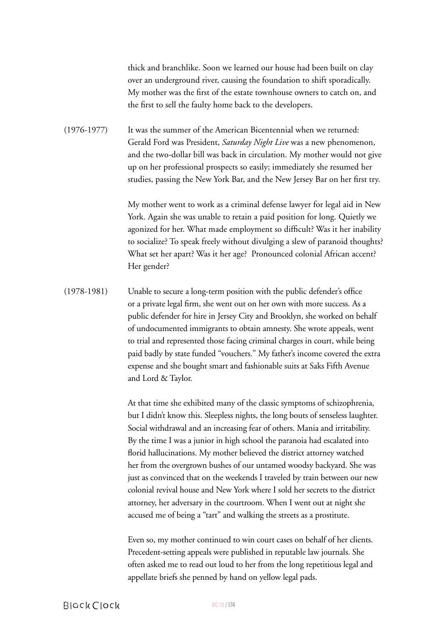thick and branchlike. Soon we learned our house had been built on clay over an underground river, causing the foundation to shift sporadically. My mother was the first of the estate townhouse owners to catch on, and the first to sell the faulty home back to the developers.

(1976-1977) It was the summer of the American Bicentennial when we returned: Gerald Ford was President, *Saturday Night Live* was a new phenomenon, and the two-dollar bill was back in circulation. My mother would not give up on her professional prospects so easily; immediately she resumed her studies, passing the New York Bar, and the New Jersey Bar on her first try.

> My mother went to work as a criminal defense lawyer for legal aid in New York. Again she was unable to retain a paid position for long. Quietly we agonized for her. What made employment so difficult? Was it her inability to socialize? To speak freely without divulging a slew of paranoid thoughts? What set her apart? Was it her age? Pronounced colonial African accent? Her gender?

(1978-1981) Unable to secure a long-term position with the public defender's office or a private legal firm, she went out on her own with more success. As a public defender for hire in Jersey City and Brooklyn, she worked on behalf of undocumented immigrants to obtain amnesty. She wrote appeals, went to trial and represented those facing criminal charges in court, while being paid badly by state funded "vouchers." My father's income covered the extra expense and she bought smart and fashionable suits at Saks Fifth Avenue and Lord & Taylor.

> At that time she exhibited many of the classic symptoms of schizophrenia, but I didn't know this. Sleepless nights, the long bouts of senseless laughter. Social withdrawal and an increasing fear of others. Mania and irritability. By the time I was a junior in high school the paranoia had escalated into florid hallucinations. My mother believed the district attorney watched her from the overgrown bushes of our untamed woodsy backyard. She was just as convinced that on the weekends I traveled by train between our new colonial revival house and New York where I sold her secrets to the district attorney, her adversary in the courtroom. When I went out at night she accused me of being a "tart" and walking the streets as a prostitute.

Even so, my mother continued to win court cases on behalf of her clients. Precedent-setting appeals were published in reputable law journals. She often asked me to read out loud to her from the long repetitious legal and appellate briefs she penned by hand on yellow legal pads.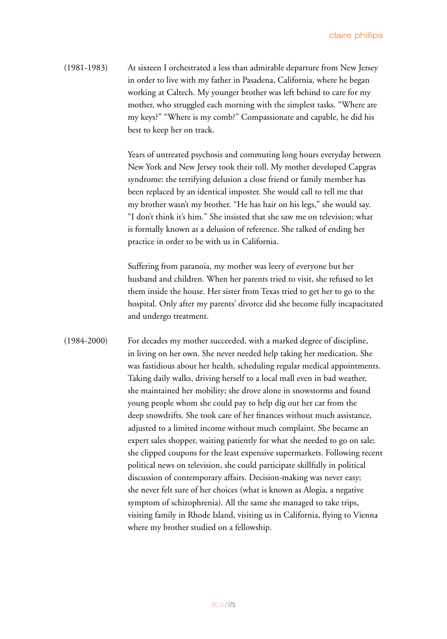(1981-1983) At sixteen I orchestrated a less than admirable departure from New Jersey in order to live with my father in Pasadena, California, where he began working at Caltech. My younger brother was left behind to care for my mother, who struggled each morning with the simplest tasks. "Where are my keys?" "Where is my comb?" Compassionate and capable, he did his best to keep her on track.

> Years of untreated psychosis and commuting long hours everyday between New York and New Jersey took their toll. My mother developed Capgras syndrome: the terrifying delusion a close friend or family member has been replaced by an identical imposter. She would call to tell me that my brother wasn't my brother. "He has hair on his legs," she would say. "I don't think it's him." She insisted that she saw me on television; what is formally known as a delusion of reference. She talked of ending her practice in order to be with us in California.

Suffering from paranoia, my mother was leery of everyone but her husband and children. When her parents tried to visit, she refused to let them inside the house. Her sister from Texas tried to get her to go to the hospital. Only after my parents' divorce did she become fully incapacitated and undergo treatment.

(1984-2000) For decades my mother succeeded, with a marked degree of discipline, in living on her own. She never needed help taking her medication. She was fastidious about her health, scheduling regular medical appointments. Taking daily walks, driving herself to a local mall even in bad weather, she maintained her mobility; she drove alone in snowstorms and found young people whom she could pay to help dig out her car from the deep snowdrifts. She took care of her finances without much assistance, adjusted to a limited income without much complaint. She became an expert sales shopper, waiting patiently for what she needed to go on sale; she clipped coupons for the least expensive supermarkets. Following recent political news on television, she could participate skillfully in political discussion of contemporary affairs. Decision-making was never easy; she never felt sure of her choices (what is known as Alogia, a negative symptom of schizophrenia). All the same she managed to take trips, visiting family in Rhode Island, visiting us in California, flying to Vienna where my brother studied on a fellowship.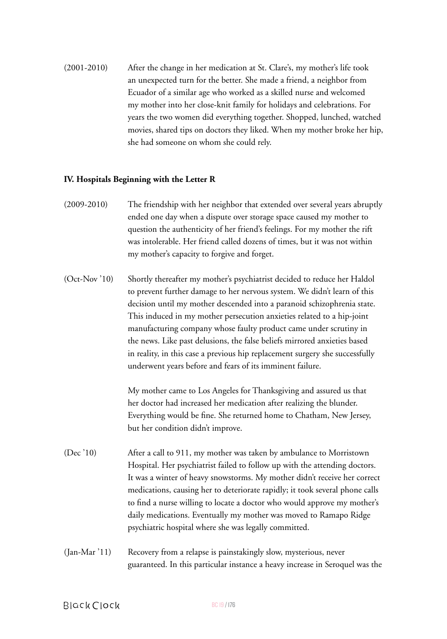(2001-2010) After the change in her medication at St. Clare's, my mother's life took an unexpected turn for the better. She made a friend, a neighbor from Ecuador of a similar age who worked as a skilled nurse and welcomed my mother into her close-knit family for holidays and celebrations. For years the two women did everything together. Shopped, lunched, watched movies, shared tips on doctors they liked. When my mother broke her hip, she had someone on whom she could rely.

## **IV. Hospitals Beginning with the Letter R**

- (2009-2010) The friendship with her neighbor that extended over several years abruptly ended one day when a dispute over storage space caused my mother to question the authenticity of her friend's feelings. For my mother the rift was intolerable. Her friend called dozens of times, but it was not within my mother's capacity to forgive and forget.
- (Oct-Nov '10) Shortly thereafter my mother's psychiatrist decided to reduce her Haldol to prevent further damage to her nervous system. We didn't learn of this decision until my mother descended into a paranoid schizophrenia state. This induced in my mother persecution anxieties related to a hip-joint manufacturing company whose faulty product came under scrutiny in the news. Like past delusions, the false beliefs mirrored anxieties based in reality, in this case a previous hip replacement surgery she successfully underwent years before and fears of its imminent failure.

My mother came to Los Angeles for Thanksgiving and assured us that her doctor had increased her medication after realizing the blunder. Everything would be fine. She returned home to Chatham, New Jersey, but her condition didn't improve.

- (Dec '10) After a call to 911, my mother was taken by ambulance to Morristown Hospital. Her psychiatrist failed to follow up with the attending doctors. It was a winter of heavy snowstorms. My mother didn't receive her correct medications, causing her to deteriorate rapidly; it took several phone calls to find a nurse willing to locate a doctor who would approve my mother's daily medications. Eventually my mother was moved to Ramapo Ridge psychiatric hospital where she was legally committed.
- (Jan-Mar '11) Recovery from a relapse is painstakingly slow, mysterious, never guaranteed. In this particular instance a heavy increase in Seroquel was the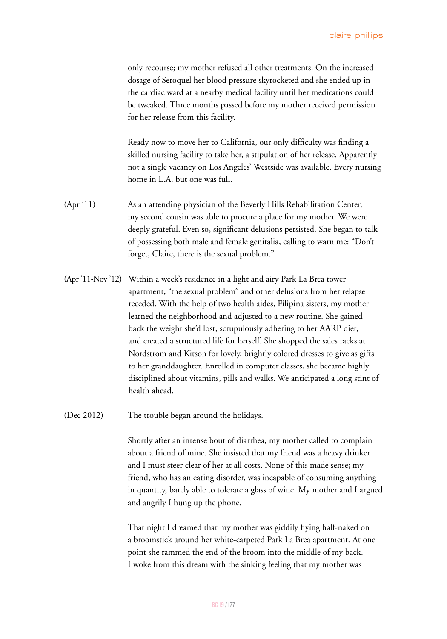only recourse; my mother refused all other treatments. On the increased dosage of Seroquel her blood pressure skyrocketed and she ended up in the cardiac ward at a nearby medical facility until her medications could be tweaked. Three months passed before my mother received permission for her release from this facility.

Ready now to move her to California, our only difficulty was finding a skilled nursing facility to take her, a stipulation of her release. Apparently not a single vacancy on Los Angeles' Westside was available. Every nursing home in L.A. but one was full.

- (Apr '11) As an attending physician of the Beverly Hills Rehabilitation Center, my second cousin was able to procure a place for my mother. We were deeply grateful. Even so, significant delusions persisted. She began to talk of possessing both male and female genitalia, calling to warn me: "Don't forget, Claire, there is the sexual problem."
- (Apr '11-Nov '12) Within a week's residence in a light and airy Park La Brea tower apartment, "the sexual problem" and other delusions from her relapse receded. With the help of two health aides, Filipina sisters, my mother learned the neighborhood and adjusted to a new routine. She gained back the weight she'd lost, scrupulously adhering to her AARP diet, and created a structured life for herself. She shopped the sales racks at Nordstrom and Kitson for lovely, brightly colored dresses to give as gifts to her granddaughter. Enrolled in computer classes, she became highly disciplined about vitamins, pills and walks. We anticipated a long stint of health ahead.

(Dec 2012) The trouble began around the holidays.

Shortly after an intense bout of diarrhea, my mother called to complain about a friend of mine. She insisted that my friend was a heavy drinker and I must steer clear of her at all costs. None of this made sense; my friend, who has an eating disorder, was incapable of consuming anything in quantity, barely able to tolerate a glass of wine. My mother and I argued and angrily I hung up the phone.

That night I dreamed that my mother was giddily flying half-naked on a broomstick around her white-carpeted Park La Brea apartment. At one point she rammed the end of the broom into the middle of my back. I woke from this dream with the sinking feeling that my mother was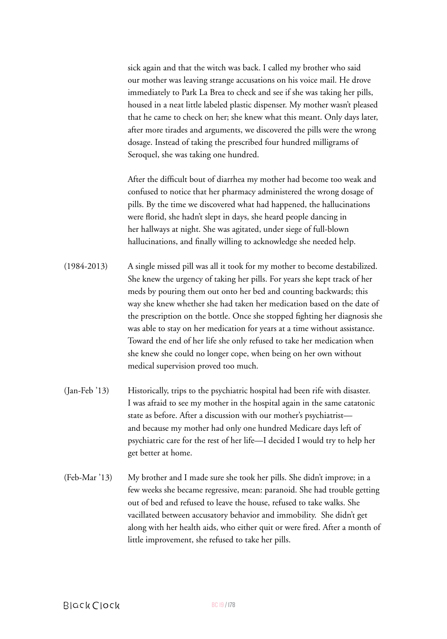sick again and that the witch was back. I called my brother who said our mother was leaving strange accusations on his voice mail. He drove immediately to Park La Brea to check and see if she was taking her pills, housed in a neat little labeled plastic dispenser. My mother wasn't pleased that he came to check on her; she knew what this meant. Only days later, after more tirades and arguments, we discovered the pills were the wrong dosage. Instead of taking the prescribed four hundred milligrams of Seroquel, she was taking one hundred.

After the difficult bout of diarrhea my mother had become too weak and confused to notice that her pharmacy administered the wrong dosage of pills. By the time we discovered what had happened, the hallucinations were florid, she hadn't slept in days, she heard people dancing in her hallways at night. She was agitated, under siege of full-blown hallucinations, and finally willing to acknowledge she needed help.

- (1984-2013) A single missed pill was all it took for my mother to become destabilized. She knew the urgency of taking her pills. For years she kept track of her meds by pouring them out onto her bed and counting backwards; this way she knew whether she had taken her medication based on the date of the prescription on the bottle. Once she stopped fighting her diagnosis she was able to stay on her medication for years at a time without assistance. Toward the end of her life she only refused to take her medication when she knew she could no longer cope, when being on her own without medical supervision proved too much.
- (Jan-Feb '13) Historically, trips to the psychiatric hospital had been rife with disaster. I was afraid to see my mother in the hospital again in the same catatonic state as before. After a discussion with our mother's psychiatrist and because my mother had only one hundred Medicare days left of psychiatric care for the rest of her life—I decided I would try to help her get better at home.
- (Feb-Mar '13) My brother and I made sure she took her pills. She didn't improve; in a few weeks she became regressive, mean: paranoid. She had trouble getting out of bed and refused to leave the house, refused to take walks. She vacillated between accusatory behavior and immobility. She didn't get along with her health aids, who either quit or were fired. After a month of little improvement, she refused to take her pills.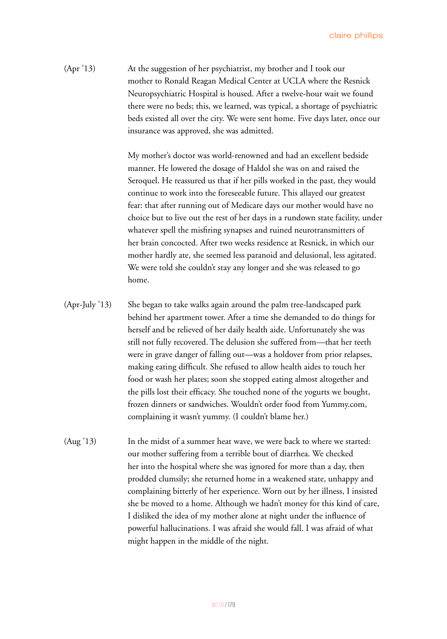(Apr '13) At the suggestion of her psychiatrist, my brother and I took our mother to Ronald Reagan Medical Center at UCLA where the Resnick Neuropsychiatric Hospital is housed. After a twelve-hour wait we found there were no beds; this, we learned, was typical, a shortage of psychiatric beds existed all over the city. We were sent home. Five days later, once our insurance was approved, she was admitted.

> My mother's doctor was world-renowned and had an excellent bedside manner. He lowered the dosage of Haldol she was on and raised the Seroquel. He reassured us that if her pills worked in the past, they would continue to work into the foreseeable future. This allayed our greatest fear: that after running out of Medicare days our mother would have no choice but to live out the rest of her days in a rundown state facility, under whatever spell the misfiring synapses and ruined neurotransmitters of her brain concocted. After two weeks residence at Resnick, in which our mother hardly ate, she seemed less paranoid and delusional, less agitated. We were told she couldn't stay any longer and she was released to go home.

- (Apr-July '13) She began to take walks again around the palm tree-landscaped park behind her apartment tower. After a time she demanded to do things for herself and be relieved of her daily health aide. Unfortunately she was still not fully recovered. The delusion she suffered from—that her teeth were in grave danger of falling out—was a holdover from prior relapses, making eating difficult. She refused to allow health aides to touch her food or wash her plates; soon she stopped eating almost altogether and the pills lost their efficacy. She touched none of the yogurts we bought, frozen dinners or sandwiches. Wouldn't order food from Yummy.com, complaining it wasn't yummy. (I couldn't blame her.)
- (Aug '13) In the midst of a summer heat wave, we were back to where we started: our mother suffering from a terrible bout of diarrhea. We checked her into the hospital where she was ignored for more than a day, then prodded clumsily; she returned home in a weakened state, unhappy and complaining bitterly of her experience. Worn out by her illness, I insisted she be moved to a home. Although we hadn't money for this kind of care, I disliked the idea of my mother alone at night under the influence of powerful hallucinations. I was afraid she would fall. I was afraid of what might happen in the middle of the night.